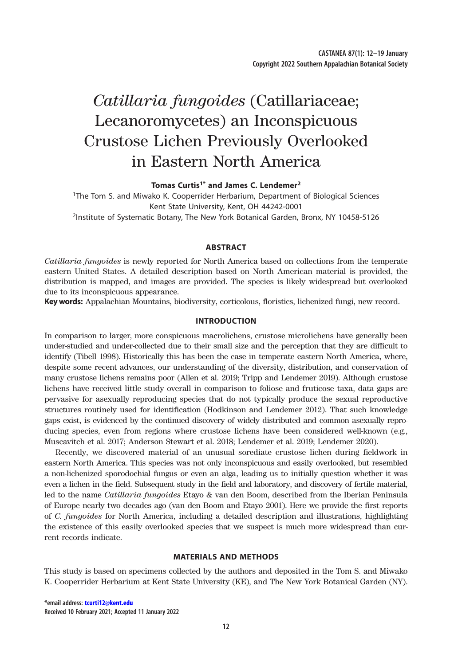# *Catillaria fungoides* (Catillariaceae; Lecanoromycetes) an Inconspicuous Crustose Lichen Previously Overlooked in Eastern North America

**Tomas Curtis1\* and James C. Lendemer2**

1The Tom S. and Miwako K. Cooperrider Herbarium, Department of Biological Sciences Kent State University, Kent, OH 44242-0001

2Institute of Systematic Botany, The New York Botanical Garden, Bronx, NY 10458-5126

## **ABSTRACT**

*Catillaria fungoides* is newly reported for North America based on collections from the temperate eastern United States. A detailed description based on North American material is provided, the distribution is mapped, and images are provided. The species is likely widespread but overlooked due to its inconspicuous appearance.

**Key words:** Appalachian Mountains, biodiversity, corticolous, floristics, lichenized fungi, new record.

# **INTRODUCTION**

In comparison to larger, more conspicuous macrolichens, crustose microlichens have generally been under-studied and under-collected due to their small size and the perception that they are difficult to identify (Tibell 1998). Historically this has been the case in temperate eastern North America, where, despite some recent advances, our understanding of the diversity, distribution, and conservation of many crustose lichens remains poor (Allen et al. 2019; Tripp and Lendemer 2019). Although crustose lichens have received little study overall in comparison to foliose and fruticose taxa, data gaps are pervasive for asexually reproducing species that do not typically produce the sexual reproductive structures routinely used for identification (Hodkinson and Lendemer 2012). That such knowledge gaps exist, is evidenced by the continued discovery of widely distributed and common asexually reproducing species, even from regions where crustose lichens have been considered well-known (e.g., Muscavitch et al. 2017; Anderson Stewart et al. 2018; Lendemer et al. 2019; Lendemer 2020).

Recently, we discovered material of an unusual sorediate crustose lichen during fieldwork in eastern North America. This species was not only inconspicuous and easily overlooked, but resembled a non-lichenized sporodochial fungus or even an alga, leading us to initially question whether it was even a lichen in the field. Subsequent study in the field and laboratory, and discovery of fertile material, led to the name *Catillaria fungoides* Etayo & van den Boom, described from the Iberian Peninsula of Europe nearly two decades ago (van den Boom and Etayo 2001). Here we provide the first reports of *C. fungoides* for North America, including a detailed description and illustrations, highlighting the existence of this easily overlooked species that we suspect is much more widespread than current records indicate.

### **MATERIALS AND METHODS**

This study is based on specimens collected by the authors and deposited in the Tom S. and Miwako K. Cooperrider Herbarium at Kent State University (KE), and The New York Botanical Garden (NY).

**\*email address: [tcurti12@kent.edu](mailto:tcurti12%40kent.edu?subject=)**

**Received 10 February 2021; Accepted 11 January 2022**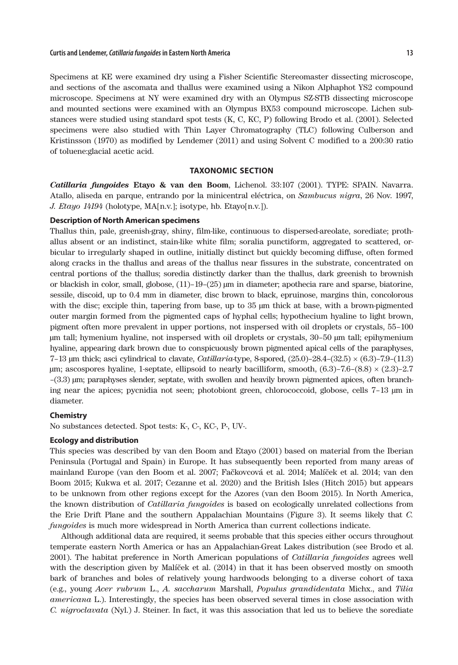Specimens at KE were examined dry using a Fisher Scientific Stereomaster dissecting microscope, and sections of the ascomata and thallus were examined using a Nikon Alphaphot YS2 compound microscope. Specimens at NY were examined dry with an Olympus SZ-STB dissecting microscope and mounted sections were examined with an Olympus BX53 compound microscope. Lichen substances were studied using standard spot tests (K, C, KC, P) following Brodo et al. (2001). Selected specimens were also studied with Thin Layer Chromatography (TLC) following Culberson and Kristinsson (1970) as modified by Lendemer (2011) and using Solvent C modified to a 200:30 ratio of toluene:glacial acetic acid.

## **TAXONOMIC SECTION**

*Catillaria fungoides* **Etayo & van den Boom**, Lichenol. 33:107 (2001). TYPE: SPAIN. Navarra. Atallo, aliseda en parque, entrando por la minicentral eléctrica, on *Sambucus nigra*, 26 Nov. 1997, *J. Etayo 14194* (holotype, MA[n.v.]; isotype, hb. Etayo[n.v.]).

# **Description of North American specimens**

Thallus thin, pale, greenish-gray, shiny, film-like, continuous to dispersed-areolate, sorediate; prothallus absent or an indistinct, stain-like white film; soralia punctiform, aggregated to scattered, orbicular to irregularly shaped in outline, initially distinct but quickly becoming diffuse, often formed along cracks in the thallus and areas of the thallus near fissures in the substrate, concentrated on central portions of the thallus; soredia distinctly darker than the thallus, dark greenish to brownish or blackish in color, small, globose, (11)–19–(25) µm in diameter; apothecia rare and sparse, biatorine, sessile, discoid, up to 0.4 mm in diameter, disc brown to black, epruinose, margins thin, concolorous with the disc; exciple thin, tapering from base, up to 35  $\mu$ m thick at base, with a brown-pigmented outer margin formed from the pigmented caps of hyphal cells; hypothecium hyaline to light brown, pigment often more prevalent in upper portions, not inspersed with oil droplets or crystals, 55–100 µm tall; hymenium hyaline, not inspersed with oil droplets or crystals, 30–50 µm tall; epihymenium hyaline, appearing dark brown due to conspicuously brown pigmented apical cells of the paraphyses, 7–13 µm thick; asci cylindrical to clavate, *Catillaria*-type, 8-spored, (25.0)–28.4–(32.5) × (6.3)–7.9–(11.3)  $\mu$ m; ascospores hyaline, 1-septate, ellipsoid to nearly bacilliform, smooth,  $(6.3)$ –7.6– $(8.8) \times (2.3)$ –2.7 –(3.3) µm; paraphyses slender, septate, with swollen and heavily brown pigmented apices, often branching near the apices; pycnidia not seen; photobiont green, chlorococcoid, globose, cells 7–13 µm in diameter.

# **Chemistry**

No substances detected. Spot tests: K-, C-, KC-, P-, UV-.

#### **Ecology and distribution**

This species was described by van den Boom and Etayo (2001) based on material from the Iberian Peninsula (Portugal and Spain) in Europe. It has subsequently been reported from many areas of mainland Europe (van den Boom et al. 2007; Fačkovcová et al. 2014; Malíček et al. 2014; van den Boom 2015; Kukwa et al. 2017; Cezanne et al. 2020) and the British Isles (Hitch 2015) but appears to be unknown from other regions except for the Azores (van den Boom 2015). In North America, the known distribution of *Catillaria fungoides* is based on ecologically unrelated collections from the Erie Drift Plane and the southern Appalachian Mountains (Figure 3). It seems likely that *C. fungoides* is much more widespread in North America than current collections indicate.

Although additional data are required, it seems probable that this species either occurs throughout temperate eastern North America or has an Appalachian-Great Lakes distribution (see Brodo et al. 2001). The habitat preference in North American populations of *Catillaria fungoides* agrees well with the description given by Malíček et al. (2014) in that it has been observed mostly on smooth bark of branches and boles of relatively young hardwoods belonging to a diverse cohort of taxa (e.g., young *Acer rubrum* L., *A. saccharum* Marshall, *Populus grandidentata* Michx., and *Tilia americana* L.). Interestingly, the species has been observed several times in close association with *C. nigroclavata* (Nyl.) J. Steiner. In fact, it was this association that led us to believe the sorediate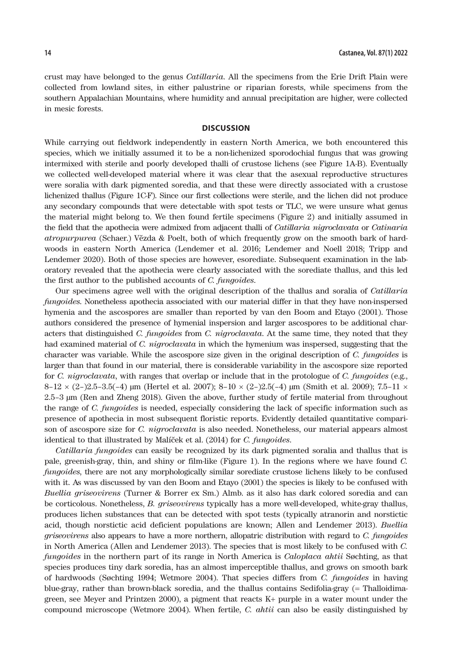crust may have belonged to the genus *Catillaria*. All the specimens from the Erie Drift Plain were collected from lowland sites, in either palustrine or riparian forests, while specimens from the southern Appalachian Mountains, where humidity and annual precipitation are higher, were collected in mesic forests.

#### **DISCUSSION**

While carrying out fieldwork independently in eastern North America, we both encountered this species, which we initially assumed it to be a non-lichenized sporodochial fungus that was growing intermixed with sterile and poorly developed thalli of crustose lichens (see Figure 1A-B). Eventually we collected well-developed material where it was clear that the asexual reproductive structures were soralia with dark pigmented soredia, and that these were directly associated with a crustose lichenized thallus (Figure 1C-F). Since our first collections were sterile, and the lichen did not produce any secondary compounds that were detectable with spot tests or TLC, we were unsure what genus the material might belong to. We then found fertile specimens (Figure 2) and initially assumed in the field that the apothecia were admixed from adjacent thalli of *Catillaria nigroclavata* or *Catinaria atropurpurea* (Schaer.) Vězda & Poelt, both of which frequently grow on the smooth bark of hardwoods in eastern North America (Lendemer et al. 2016; Lendemer and Noell 2018; Tripp and Lendemer 2020). Both of those species are however, esorediate. Subsequent examination in the laboratory revealed that the apothecia were clearly associated with the sorediate thallus, and this led the first author to the published accounts of *C. fungoides*.

Our specimens agree well with the original description of the thallus and soralia of *Catillaria fungoides*. Nonetheless apothecia associated with our material differ in that they have non-inspersed hymenia and the ascospores are smaller than reported by van den Boom and Etayo (2001). Those authors considered the presence of hymenial inspersion and larger ascospores to be additional characters that distinguished *C. fungoides* from *C. nigroclavata*. At the same time, they noted that they had examined material of *C. nigroclavata* in which the hymenium was inspersed, suggesting that the character was variable. While the ascospore size given in the original description of *C. fungoides* is larger than that found in our material, there is considerable variability in the ascospore size reported for *C. nigroclavata*, with ranges that overlap or include that in the protologue of *C. fungoides* (e.g.,  $8-12 \times (2-)2.5-3.5(-4)$  µm (Hertel et al. 2007);  $8-10 \times (2-)2.5(-4)$  µm (Smith et al. 2009); 7.5–11  $\times$ 2.5–3 µm (Ren and Zheng 2018). Given the above, further study of fertile material from throughout the range of *C. fungoides* is needed, especially considering the lack of specific information such as presence of apothecia in most subsequent floristic reports. Evidently detailed quantitative comparison of ascospore size for *C. nigroclavata* is also needed. Nonetheless, our material appears almost identical to that illustrated by Malíček et al. (2014) for *C. fungoides*.

*Catillaria fungoides* can easily be recognized by its dark pigmented soralia and thallus that is pale, greenish-gray, thin, and shiny or film-like (Figure 1). In the regions where we have found *C. fungoides*, there are not any morphologically similar sorediate crustose lichens likely to be confused with it. As was discussed by van den Boom and Etayo (2001) the species is likely to be confused with *Buellia griseovirens* (Turner & Borrer ex Sm.) Almb. as it also has dark colored soredia and can be corticolous. Nonetheless, *B. griseovirens* typically has a more well-developed, white-gray thallus, produces lichen substances that can be detected with spot tests (typically atranorin and norstictic acid, though norstictic acid deficient populations are known; Allen and Lendemer 2013). *Buellia griseovirens* also appears to have a more northern, allopatric distribution with regard to *C. fungoides* in North America (Allen and Lendemer 2013). The species that is most likely to be confused with *C. fungoides* in the northern part of its range in North America is *Caloplaca ahtii* Søchting, as that species produces tiny dark soredia, has an almost imperceptible thallus, and grows on smooth bark of hardwoods (Søchting 1994; Wetmore 2004). That species differs from *C. fungoides* in having blue-gray, rather than brown-black soredia, and the thallus contains Sedifolia-gray (= Thalloidimagreen, see Meyer and Printzen 2000), a pigment that reacts K+ purple in a water mount under the compound microscope (Wetmore 2004). When fertile, *C. ahtii* can also be easily distinguished by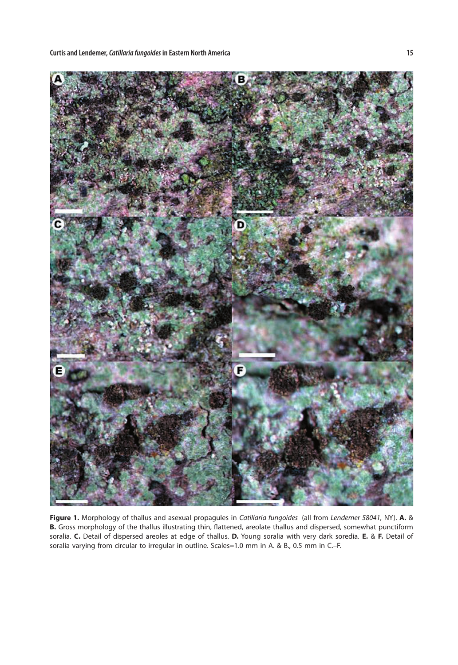**Curtis and Lendemer,** *Catillaria fungoides* **in Eastern North America 15**



**Figure 1.** Morphology of thallus and asexual propagules in *Catillaria fungoides* (all from *Lendemer 58041,* NY). **A.** & **B.** Gross morphology of the thallus illustrating thin, flattened, areolate thallus and dispersed, somewhat punctiform soralia. **C.** Detail of dispersed areoles at edge of thallus. **D.** Young soralia with very dark soredia. **E.** & **F.** Detail of soralia varying from circular to irregular in outline. Scales=1.0 mm in A. & B., 0.5 mm in C.–F.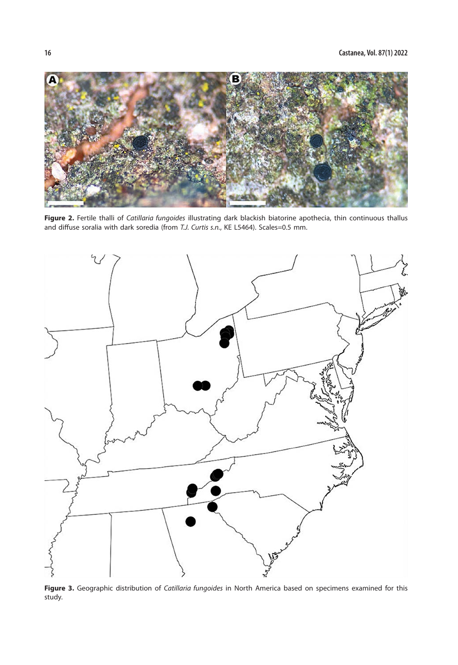

**Figure 2.** Fertile thalli of *Catillaria fungoides* illustrating dark blackish biatorine apothecia, thin continuous thallus and diffuse soralia with dark soredia (from *T.J. Curtis s.n.*, KE L5464). Scales=0.5 mm.



**Figure 3.** Geographic distribution of *Catillaria fungoides* in North America based on specimens examined for this study.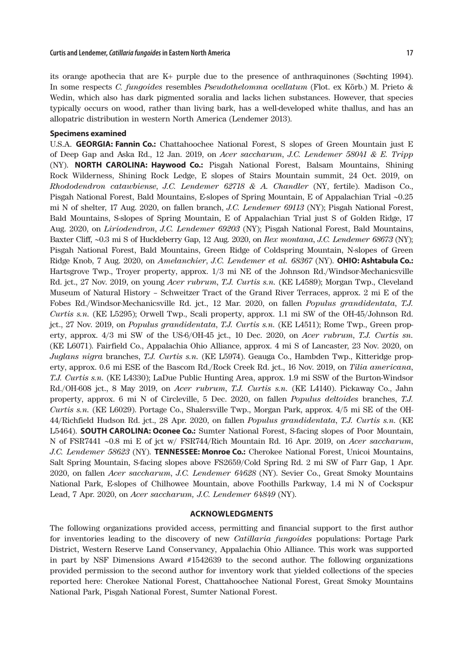allopatric distribution in western North America (Lendemer 2013).

its orange apothecia that are K+ purple due to the presence of anthraquinones (Søchting 1994). In some respects *C. fungoides* resembles *Pseudothelomma ocellatum* (Flot. ex Körb.) M. Prieto & Wedin, which also has dark pigmented soralia and lacks lichen substances. However, that species

typically occurs on wood, rather than living bark, has a well-developed white thallus, and has an

#### **Specimens examined**

U.S.A. **GEORGIA: Fannin Co.:** Chattahoochee National Forest, S slopes of Green Mountain just E of Deep Gap and Aska Rd., 12 Jan. 2019, on *Acer saccharum*, *J.C. Lendemer 58041 & E. Tripp* (NY). **NORTH CAROLINA: Haywood Co.:** Pisgah National Forest, Balsam Mountains, Shining Rock Wilderness, Shining Rock Ledge, E slopes of Stairs Mountain summit, 24 Oct. 2019, on *Rhododendron catawbiense*, *J.C. Lendemer 62718 & A. Chandler* (NY, fertile). Madison Co., Pisgah National Forest, Bald Mountains, E-slopes of Spring Mountain, E of Appalachian Trial ∼0.25 mi N of shelter, 17 Aug. 2020, on fallen branch, *J.C. Lendemer 69113* (NY); Pisgah National Forest, Bald Mountains, S-slopes of Spring Mountain, E of Appalachian Trial just S of Golden Ridge, 17 Aug. 2020, on *Liriodendron*, *J.C. Lendemer 69203* (NY); Pisgah National Forest, Bald Mountains, Baxter Cliff, ∼0.3 mi S of Huckleberry Gap, 12 Aug. 2020, on *Ilex montana*, *J.C. Lendemer 68673* (NY); Pisgah National Forest, Bald Mountains, Green Ridge of Coldspring Mountain, N-slopes of Green Ridge Knob, 7 Aug. 2020, on *Amelanchier*, *J.C. Lendemer et al. 68367* (NY). **OHIO: Ashtabula Co.:** Hartsgrove Twp., Troyer property, approx. 1/3 mi NE of the Johnson Rd./Windsor-Mechanicsville Rd. jct., 27 Nov. 2019, on young *Acer rubrum*, *T.J. Curtis s.n.* (KE L4589); Morgan Twp., Cleveland Museum of Natural History – Schweitzer Tract of the Grand River Terraces, approx. 2 mi E of the Fobes Rd./Windsor-Mechanicsville Rd. jct., 12 Mar. 2020, on fallen *Populus grandidentata*, *T.J. Curtis s.n.* (KE L5295); Orwell Twp., Scali property, approx. 1.1 mi SW of the OH-45/Johnson Rd. jct., 27 Nov. 2019, on *Populus grandidentata*, *T.J. Curtis s.n.* (KE L4511); Rome Twp., Green property, approx. 4/3 mi SW of the US-6/OH-45 jct., 10 Dec. 2020, on *Acer rubrum*, *T.J. Curtis sn.*  (KE L6071). Fairfield Co., Appalachia Ohio Alliance, approx. 4 mi S of Lancaster, 23 Nov. 2020, on *Juglans nigra* branches, *T.J. Curtis s.n.* (KE L5974). Geauga Co., Hambden Twp., Kitteridge property, approx. 0.6 mi ESE of the Bascom Rd./Rock Creek Rd. jct., 16 Nov. 2019, on *Tilia americana*, *T.J. Curtis s.n.* (KE L4330); LaDue Public Hunting Area, approx. 1.9 mi SSW of the Burton-Windsor Rd./OH-608 jct., 8 May 2019, on *Acer rubrum*, *T.J. Curtis s.n.* (KE L4140). Pickaway Co., Jahn property, approx. 6 mi N of Circleville, 5 Dec. 2020, on fallen *Populus deltoides* branches, *T.J. Curtis s.n.* (KE L6029). Portage Co., Shalersville Twp., Morgan Park, approx. 4/5 mi SE of the OH-44/Richfield Hudson Rd. jct., 28 Apr. 2020, on fallen *Populus grandidentata*, *T.J. Curtis s.n.* (KE L5464). **SOUTH CAROLINA: Oconee Co.:** Sumter National Forest, S-facing slopes of Poor Mountain, N of FSR7441 ∼0.8 mi E of jct w/ FSR744/Rich Mountain Rd. 16 Apr. 2019, on *Acer saccharum*, *J.C. Lendemer 58623* (NY). **TENNESSEE: Monroe Co.:** Cherokee National Forest, Unicoi Mountains, Salt Spring Mountain, S-facing slopes above FS2659/Cold Spring Rd. 2 mi SW of Farr Gap, 1 Apr. 2020, on fallen *Acer saccharum*, *J.C. Lendemer 64628* (NY). Sevier Co., Great Smoky Mountains National Park, E-slopes of Chilhowee Mountain, above Foothills Parkway, 1.4 mi N of Cockspur Lead, 7 Apr. 2020, on *Acer saccharum, J.C. Lendemer 64849* (NY).

## **ACKNOWLEDGMENTS**

The following organizations provided access, permitting and financial support to the first author for inventories leading to the discovery of new *Catillaria fungoides* populations: Portage Park District, Western Reserve Land Conservancy, Appalachia Ohio Alliance. This work was supported in part by NSF Dimensions Award #1542639 to the second author. The following organizations provided permission to the second author for inventory work that yielded collections of the species reported here: Cherokee National Forest, Chattahoochee National Forest, Great Smoky Mountains National Park, Pisgah National Forest, Sumter National Forest.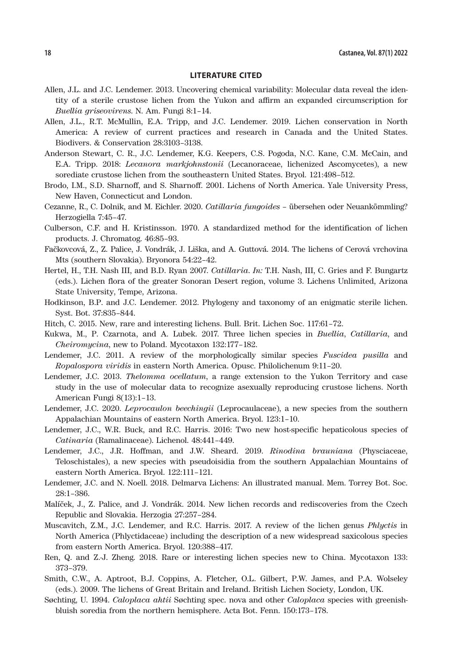# **LITERATURE CITED**

- Allen, J.L. and J.C. Lendemer. 2013. Uncovering chemical variability: Molecular data reveal the identity of a sterile crustose lichen from the Yukon and affirm an expanded circumscription for *Buellia griseovirens*. N. Am. Fungi 8:1–14.
- Allen, J.L., R.T. McMullin, E.A. Tripp, and J.C. Lendemer. 2019. Lichen conservation in North America: A review of current practices and research in Canada and the United States. Biodivers. & Conservation 28:3103–3138.
- Anderson Stewart, C. R., J.C. Lendemer, K.G. Keepers, C.S. Pogoda, N.C. Kane, C.M. McCain, and E.A. Tripp. 2018: *Lecanora markjohnstonii* (Lecanoraceae, lichenized Ascomycetes), a new sorediate crustose lichen from the southeastern United States. Bryol. 121:498–512.
- Brodo, I.M., S.D. Sharnoff, and S. Sharnoff. 2001. Lichens of North America. Yale University Press, New Haven, Connecticut and London.
- Cezanne, R., C. Dolnik, and M. Eichler. 2020. *Catillaria fungoides* übersehen oder Neuankömmling? Herzogiella 7:45–47.
- Culberson, C.F. and H. Kristinsson. 1970. A standardized method for the identification of lichen products. J. Chromatog. 46:85–93.
- Fačkovcová, Z., Z. Palice, J. Vondrák, J. Liška, and A. Guttová. 2014. The lichens of Cerová vrchovina Mts (southern Slovakia). Bryonora 54:22–42.
- Hertel, H., T.H. Nash III, and B.D. Ryan 2007. *Catillaria*. *In:* T.H. Nash, III, C. Gries and F. Bungartz (eds.). Lichen flora of the greater Sonoran Desert region, volume 3. Lichens Unlimited, Arizona State University, Tempe, Arizona.
- Hodkinson, B.P. and J.C. Lendemer. 2012. Phylogeny and taxonomy of an enigmatic sterile lichen. Syst. Bot. 37:835–844.
- Hitch, C. 2015. New, rare and interesting lichens. Bull. Brit. Lichen Soc. 117:61–72.
- Kukwa, M., P. Czarnota, and A. Lubek. 2017. Three lichen species in *Buellia*, *Catillaria*, and *Cheiromycina*, new to Poland. Mycotaxon 132:177–182.
- Lendemer, J.C. 2011. A review of the morphologically similar species *Fuscidea pusilla* and *Ropalospora viridis* in eastern North America. Opusc. Philolichenum 9:11–20.
- Lendemer, J.C. 2013. *Thelomma ocellatum*, a range extension to the Yukon Territory and case study in the use of molecular data to recognize asexually reproducing crustose lichens. North American Fungi 8(13):1–13.
- Lendemer, J.C. 2020. *Leprocaulon beechingii* (Leprocaulaceae), a new species from the southern Appalachian Mountains of eastern North America. Bryol. 123:1–10.
- Lendemer, J.C., W.R. Buck, and R.C. Harris. 2016: Two new host-specific hepaticolous species of *Catinaria* (Ramalinaceae). Lichenol. 48:441–449.
- Lendemer, J.C., J.R. Hoffman, and J.W. Sheard. 2019. *Rinodina brauniana* (Physciaceae, Teloschistales), a new species with pseudoisidia from the southern Appalachian Mountains of eastern North America. Bryol. 122:111–121.
- Lendemer, J.C. and N. Noell. 2018. Delmarva Lichens: An illustrated manual. Mem. Torrey Bot. Soc. 28:1–386.
- Malíček, J., Z. Palice, and J. Vondrák. 2014. New lichen records and rediscoveries from the Czech Republic and Slovakia. Herzogia 27:257–284.
- Muscavitch, Z.M., J.C. Lendemer, and R.C. Harris. 2017. A review of the lichen genus *Phlyctis* in North America (Phlyctidaceae) including the description of a new widespread saxicolous species from eastern North America. Bryol. 120:388–417.
- Ren, Q. and Z.-J. Zheng. 2018. Rare or interesting lichen species new to China. Mycotaxon 133: 373–379.
- Smith, C.W., A. Aptroot, B.J. Coppins, A. Fletcher, O.L. Gilbert, P.W. James, and P.A. Wolseley (eds.). 2009. The lichens of Great Britain and Ireland. British Lichen Society, London, UK.
- Søchting, U. 1994. *Caloplaca ahtii* Søchting spec. nova and other *Caloplaca* species with greenishbluish soredia from the northern hemisphere. Acta Bot. Fenn. 150:173–178.